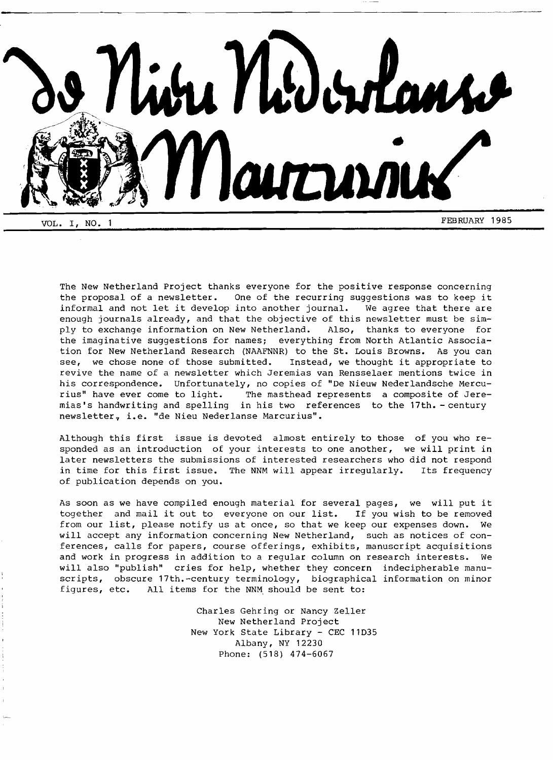

The New Netherland Project thanks everyone for the positive response concerning the proposal of a newsletter. One of the recurring suggestions was to keep it informal and not let it develop into another journal. We agree that there are enough journals already, and that the objective of this newsletter must be simply to exchange information on New Netherland. Also, thanks to everyone for the imaginative suggestions for names; everything from North Atlantic Association for New Netherland Research (NAAFNNR) to the St. Louis Browns. As you can see, we chose none of those submitted. Instead, we thought it appropriate to revive the name of a newsletter which Jeremias van Rensselaer mentions twice in his correspondence. Unfortunately, no copies of "De Nieuw Nederlandsche Mercurius" have ever come to light. The masthead represents a composite of Jeremias's handwriting and spelling in his two references to the 17th. - century newsletter, i.e. "de Nieu Nederlanse Marcurius".

Although this first issue is devoted almost entirely to those of you who responded as an introduction of your interests to one another, we will print in later newsletters the submissions of interested researchers who did not respond in time for this first issue. The NNM will appear irregularly. Its frequency of publication depends on you.

As soon as we have compiled enough material for several pages, we will put it together and mail it out to everyone on our list. If you wish to be removed from our list, please notify us at once, so that we keep our expenses down. We will accept any information concerning New Netherland, such as notices of conferences, calls for papers, course offerings, exhibits, manuscript acquisitions and work in progress in addition to a regular column on research interests. We will also "publish" cries for help, whether they concern indecipherable manuscripts, obscure 17th.-century terminology, biographical information on minor figures, etc. All items for the NNM should be sent to:

> Charles Gehring or Nancy Zeller New Netherland Project New York State Library - CEC 11035 Albany, NY 12230 Phone: (518) 474-6067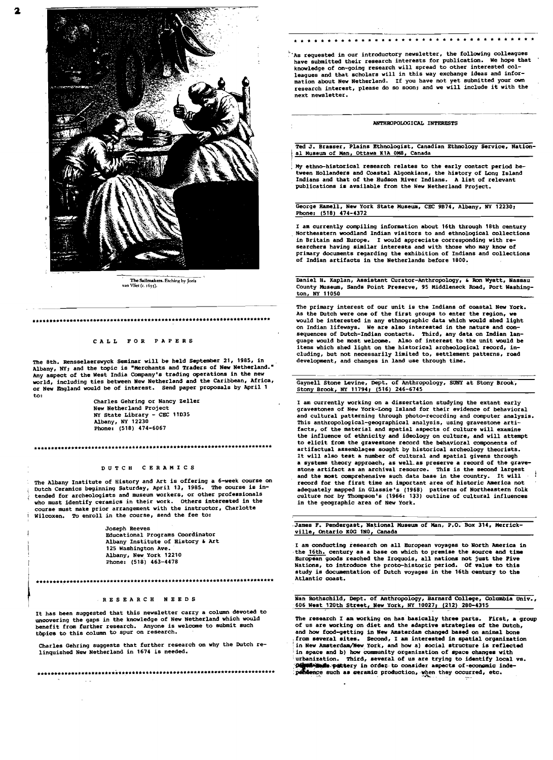

The Sailmakers. Etching by Joris van Vliet (c. 1635).

### CALL FOR PAPERS

The 8th. Rensselaerswyck Seminar will be held September 21, 1985, in Albany, NY; and the topic is "Merchants and Traders of New Netherland." Any aspect of the West India Company's trading operations in the new why aspect of the new company a candy of the Caribbean, Africa,<br>world, including ties between New Netherland and the Caribbean, Africa,<br>or New England would be of interest. Send paper proposals by April 1 to:

Charles Gehring or Nancy Zeller New Netherland Project NY State Library - CEC 11D35<br>Albany, NY 12230<br>Phone: (518) 474-6067

## 

### DUTCH CERAMICS

The Albany Institute of History and Art is offering a 6-week course on butch Ceramics beginning Saturday, April 13, 1985. The course is in-<br>tended for archeologists and museum workers, or other professionals who must identify ceramics in their work. Others interested in the course must make prior arrangement with the instructor, Charlotte Wilcoxen. To enroll in the course, send the fee to:

> Joseph Reeves Educational Programs Coordinator Albany Institute of History & Art 125 Washington Ave. Albany, New York 12210 Phone: (518) 463-4478

# 

### RESEARCH NEEDS

It has been suggested that this newsletter carry a column devoted to uncovering the gaps in the knowledge of New Netherland which would benefit from further research. Anyone is welcome to submit such topics to this column to spur on research.

Charles Gehring suggests that further research on why the Dutch relinquished New Netherland in 1674 is needed.

 $\sim$   $\sim$ 

'As requested in our introductory newsletter, the following colleagues<br>have submitted their research interests for publication. We hope that knowledge of on-going research will spread to other interested col-<br>leagues and that scholars will in this way exchange ideas and information about New Netherland. If you have not yet submitted your own research interest, please do so soon; and we will include it with the next newsletter.

#### ANTHROPOLOGICAL INTERESTS

Ted J. Brasser, Plains Ethnologist, Canadian Ethnology Service, National Museum of Man, Ottawa KiA OM8, Canada

My ethno-historical research relates to the early contact period be-My ethno-historical research relates to the tearly control process the Hollanders and Coastal Algonkians, the history of Long Island Indians and that of the Hudson River Indians. A list of relevant publications is available from the New Netherland Project.

George Hamell, New York State Museum, CEC 9B74, Albany, NY 12230: Phone: (518) 474-4372

I am currently compiling information about 16th through 18th century Northeastern woodland Indian visitors to and ethnological collections in Britain and Europe. I would appreciate corresponding with re-searchers having similar interests and with those who may know of primary documents regarding the exhibition of Indians and collections of Indian artifacts in the Netherlands before 1800.

Daniel H. Kaplan, Assistant Curator-Anthropology, & Ron Wyatt, Nassau<br>County Museum, Sands Point Preserve, 95 Middleneck Road, Port Washington, NY 11050

The primary interest of our unit is the Indians of coastal New York. As the Dutch were one of the first groups to enter the region, we would be interested in any ethnographic data which would shed light on Indian lifeways. We are also interested in the nature and consequences of Dutch-Indian contacts. Third, any data on Indian lan-<br>guage would be most welcome. Also of interest to the unit would be<br>items which shed light on the historical archeological record, including, but not necessarily limited to, settlement patterns, road development, and changes in land use through time.

Gaynell Stone Levine, Dept. of Anthropology, SUNY at Stony Brook, Stony Brook, NY 11794; (516) 246-6745

I am currently working on a dissertation studying the extant early gravestones of New York-Long Island for their evidence of behavioral and cultural patterning through photo-recording and computer analysis. This anthropological-geographical analysis, using gravestone arti-<br>facts, of the material and spatial aspects of culture will examine the influence of ethnicity and ideology on culture, and will attempt to elicit from the gravestone record the behavioral components of artifactual assemblages sought by historical archeology theorists. It will also test a number of cultural and spatial givens through a systems theory approach, as well as preserve a record of the grave-<br>stone artifact as an archival resource. This is the second largest and the most comprehensive such data base in the country. It will and the most comprehensive such data base in the country. It will<br>record for the first time an important area of historic America not<br>adequately mapped in Glassie's (1968) patterns of Northeastern folk<br>culture nor by Thomp

James F. Pendergast, National Museum of Man, P.O. Box 314, Merrickville, Ontario KOG 1NO, Canada

I am conducting research on all European voyages to North America in the 16th. century as a base on which to premise the source and time European goods reached the Iroquois, all nations not just the Five Mations, to introduce the proto-historic period. Of value to this<br>study is documentation of Dutch voyages in the 16th century to the Atlantic coast.

Nan Rothschild, Dept. of Anthropology, Barnard College, Columbia Univ., 606 West 120th Street, New York, NY 10027; (212) 280-4315

The research I am working on has basically three parts. First, a group In the season of the Boston of the Boston of the Boston of the Boston of the Boston and how food-getting in New Amsterdam changed based on animal bone<br>from several sites. Second, I am interested in spatial organization<br>in urbanization. Third, several of us are trying to identify local vs.<br> **urbanization.** Third, several of us are trying to identify local vs.<br> **Posterior per controller assumed to controller** as per control independence such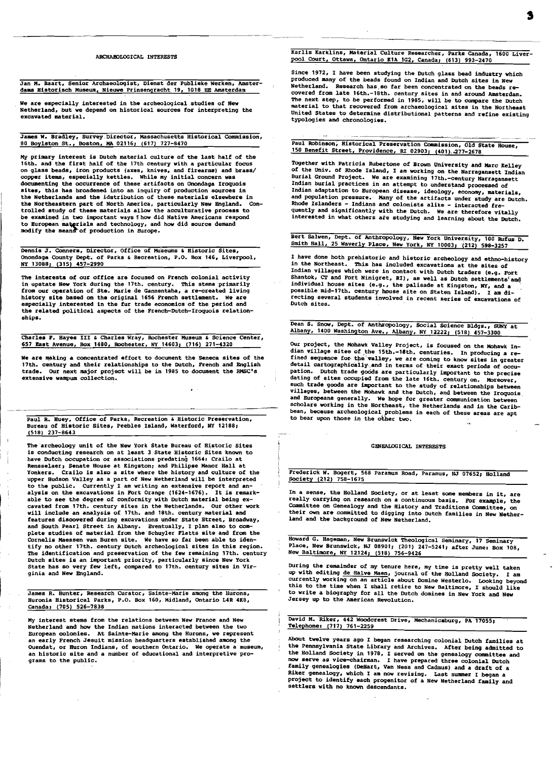### ARCHABOLOGICAL INTERESTS

Jan M. Baart, Senior Archaeologist, Dienst der Publieke Werken. Amsterdams Bistorisch Museum, Nieuwe Prinsenqracht 19, 1018 EE Amsterdam

we are especially interested in the archeological studies of New Netherland, but we depend on historical sources for interpreting the excavated material.

James W. Bradley, Survey. Director, Massachusetts Historical Commission, 80 Boylston St., Boston, MA 02116; (617) 727-8470

My primary interest is Dutch material culture of the last half of the 16th. and the first half of the 17th century with a particular focus on glass beads, iron products (axes, knives, and firearms) and brass/ copper items, especially kettles. While my initial concern was documenting the occurrence of these artifacts on Onondaga Iroquois sites, this has broadened into an inquiry of production sources in the Netherlands and the idstribution of these materials elsewhere in<br>the Northeastern part of North America, particularly New England. Conthe Northeastern part of North America, particularly New England. COn-trolled study of these materials allow the acculturative process to be examined in two important ways fhow did Native Americans respond<br>to European materials and technology, and how did source demand<br>modify the means of production in Europe.

Dennis J. Conners, Director, Office of Museums & Historic Sites, Onondaga County Dept. of Parks & Recreation, P.O. Box 146, Liverpool,<br>NY 13088; (315) 457-2990

The interests of our office are focused on French colonial activity in upstate New York during the 17th. century. This stems primarily from our operation of Ste. Marie de Gannentaha, a re-created living history site based on the original 1656 French settlement. We are especially interested in the fur trade economics of the period and the related political aspects of the French-Dutch-Iroquois relation ships.

Charles F. Hayes III & Charles Wray, Rochester Museum & Science Center, 657 East Avenue, Box 1480, Rochester, NY 14603, (716) 271-4320

We are making a concentrated effort to document the Seneca sites of the 17th. century and their relationships to the Dutch, French and English trade. OUr next major project will be in 1985 to document the RMSC's extensive wampum collection.

Paul R. Huey, Office of Parks, Recreation & Historic Preservation, Bureau of Historic Sites, Peebles Island, Waterford, NY 12188, (518) 237-8643

Ī

The archeology unit of the New York State Bureau of Historic Sites is conducting research on at least 3 State Historic Sites known to have Dutch occupation or associations predating 1664. Crailo at Rensselaer, Senate House at Kingston; and Philipse Manor Hall at Yonkers. Crailo is also a site where the history and culture of the upper Hudson Valley as a part of New Netherland will be interpreted to the public. Currently I am writing an extensive report and an-alysis on the excavations in FOrt Orange (1624-1676). It is remarkable to see the degree of conformity with Dutch material being excavated from 17th. century sites in the Netherlands. Our other work will include an analysis of 17th. and 18th. century material and features discovered during excavations under State Street, Broadway, and South Pearl Street in Albany. Eventually, I plan also to com-<br>plete studies of material from the Schuyler Flatts site and from the COrnelis Maessen van Buren site. We have so far been able to identify no other 17th. century Dutch archeological sites in this region. The identification and preservation of the few remaining 17th. century Dutch sites is an important priority, particularly since New York State has so very few left, compared to 17th. century sites in Virginia and New England.

**James R. Hunter, Research Curator, Sainte-Marie among the Hurons,**  Huronia Historical Parks, P.O. Box 160, Midland, Ontario L4R 4K8, canada, (70S) 526-7838  $\overline{a}$ 

My interest stems from the relations between New France and New Netherland and how the Indian nations interacted between the two European colonies. At Sainte-Marie among the Hurons, we represent an early French Jesuit mission headquarters established among the **OUendat, or Huron Indians, of southern Ontario. We operate a museum,**  an historic site and a number of educational and interpretive programs to the public.

## Karlis Karklins, Material Culture Researcher, Parks Canada, 1600 Liverpool Court, Ottawa, Ontario KIA lG2, Canada, (613) 993-2470

Since 1972, I have been studying the Dutch glass bead industry which produced many of the beads found on Indian and Dutch sites in New Research has so far been concentrated on the beads recovered from late 16th.-18th. century sites in and around Amsterdam.<br>The next step, to be performed in 1985, will be to compare the Dutch material to that recovered from archaeological sites in the Northeast United States to determine distributional patterns and refine existing typologies and chronologies.

Paul RobinsOn, Historical Preservation Commission, Old State House, 150 Benefit Street, Providence, RI 02903; (401), 277-2678

Together with Patricia Rubertone of Brown University and Marc Kelley of the Univ. of Rhode Island, I am working on the Narragansett Indian<br>Burial Ground Project. We are examining 17th.-century Narragansett<br>Indian burial practices in an attempt to understand processed of<br>Indian adaptation to and population pressure. Many of the artifacts under study are Dutch.<br>Rhode Islanders - Indians and colonists alike - interacted fre-<br>quently and significantly with the Dutch. We are therefore vitally interested in what others ate studying and learning about the Dutch.

Bert Salwen, Dept. of Anthropology, New York University, 100 Rufus D. Smith Ball, 25 Waverly Place, New York, NY 10003; (212) 598-3257

I have done both prehistoric and historic archeology and ethno-history<br>in the Northeast. This has included excavations at the sites of This has included excavations at the sites of Indian villages which were in contact with Dutch traders (e.g. Fort Shantok, CT and Fort Ninigret, RI), as well as Dutch settlements'and<br>individual house sites (e.g., the palisade at Kingston, NY, and a<br>possible mid-17th. century house site on Staten Island). I am directing several students involved in recent series of excavations of Dutch sites.

Dean S. Snow, Dept. of Anthropology, Social Science Bldgs., SUNY at Albany, 1400 Washington Ave., Albany, NY 12222; (518) 457-3300

OUr project, the Mohawk Valley Project, is focused on the Mohawk Indian village sites of the 15th.-18th. centuries. In producing a re-<br>fined sequence for the valley, we are coming to know sites in greater<br>detail cartographically and in terms of their exact periods of occupation. Dutch trade goods are particularly important to the precise<br>dating of sites occupied from the late 16th. century on. Moreover, such trade goods are important to the study of relationships between villages, between the Mohawk and the Dutch, and between the Iroquois<br>and Europeans generally. We hope for greater communication between scholars working in the Northeast, the Netherlands and in the caribbean, because archeological problems in each of these areas are apt to bear upon those in the other two.

### GENEALOGICAL INTERESTS

Frederick W. Bogert, 568 Paramus Road, Paramus, NJ 07652; Holland Eociety (212) 758-1675

In a sense, the Holland Society, or at least some members in it, are really carrying on research on a continuous basis. For example, the Committee on Genealogy and the History and Traditions Committee, on their own are committed to digging into Dutch families in New Netherland and the background of New Netherland.

Howard G. Hageman, New Brunswick Theological Seminary, 17 Seminary Place, New Brunswick, NJ 08901; (201) 247-5241; after June: Box 108,<br>New Baltimore, NY 12124; (518) 756-9426

During the remainder of my tenure here, my time is pretty well taken<br>up with editing <u>de Halve Maen</u>, journal of the Holland Society. I am<br>currently working on an article about Domine Westerlo. Looking beyond<br>this to the t to write a biography for all the Dutch domines in New York and New Jersey up to the American Revolution.

David M. Riker, 442 Woodcrest Drive, Mechanicsburg, PA 17055, Telephone. (717) 761-2259

About twelve years ago I began researching colonial Dutch families at the Pennsylvania State Library and Archives. After being admitted to the Holland Society.in 1978, I served on the genealogy committee and now serve as vice-chairman. I have prepared three colonial Dutch family genealogies (DeHart, Van Ness and Cadmus) and a draft of a Riker genealogy, which I am now revising. Last summer I began a project to identify each progenitor of a New Netherland family and settlers with no known descendants.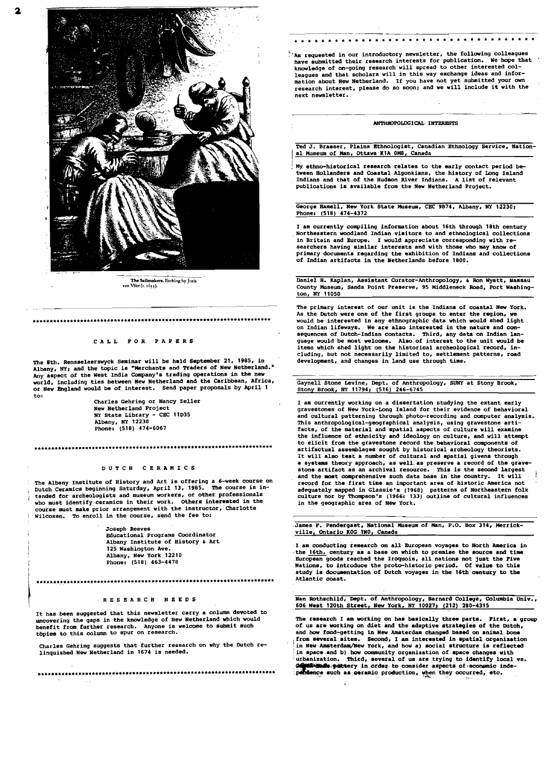

**The Sailmakers.** Etching by Joris<br>van Vliet (c. 1635).

## **..........\_.\_----\_ \*\*\_.\_----\_.\*.. \_\*-------\*\*.-\* \*.\*\*\* .**

### CALL FOR PAPERS

The 8th. Rensselaerswyck Seminar will be held September 21, 1985, in Albany, NY; and the topic is "Merchants and Traders of New Netherland." Any aspect of the West India Company's trading operations in the new world, including ties between New Netherland and the caribbean, Africa, or New England would be of interest. Send paper proposals by April 1

to: Charles Gehring or Nancy Zeller New Netherland Project NY State Library - CEC 11035 Albany, NY 12230 Phone. (518) 474-6067

### **•••••••••••\*•••\*\* •••\*\* •••••••••••••••••••••••••••••••••••\_••••••••••••**

#### DUTCH CERAMICS

The Albany Institute of History and Art is offering a 6-week course on Int necessary and comming Saturday, April 13, 1985. The course is in<br>tended for archeologists and museum workers, or other professionals who must identify ceramics in their work. others interested in the course must make prior arrangement with the instructor, Charlotte Wilcoxen. To enroll in the course, send the fee to:

> Joseph Reeves<br>Educational Programs Coordinator Albany Institute of History & Art 125 Washington Ave. Albany, New York 12210 Phone: (518) 463-4478

# **•••••••••••\*••••••••••••••••••••••\*•••••••••••••••••••••••\*•••••\*••••**

#### RESEARCH NEE 0 S

It has been suggested that this newsletter carry a column devoted to uncovering the gaps in the knowledge of New Netherland which would<br>benefit from further research. Anyone is welcome to submit such<br>topics to this column to spur on research. tbpice to this column to spur on research.

Charles Gehring suggests that further research on why the Dutch relinquished New Netherland in 1674 is needed.

**••\_•••••••\*.\*••\*\*.\*••• \*\*\* •••\*\*\* ••••\*\*••\*•• \*\*\*.\*•••••\*\*.\*\*••\*••\*\*•••\*\*.** 

 $^{\circ}$  As requested in our introductory newsletter, the following colleagues<br>have submitted their research interests for publication. We hope that have submitted their research interests for publication. knowledge of on-going research will spread to other interested col-leagues and that scholars will in this way exchange ideas and information about New Netherland. If you have not yet submitted your own research interest, please do so soon; and we will include it with the next newsletter.

• • \* \* \* • • • • • • • • • • • • - • • • - • • • • • \* • • • • \* • • •

## ---------------~---~---~--\_. ANTHROPOLOGICAL INTERESTS

Ted J. Brasser, Plains Ethnologist, canadian Ethnology service, National Museum of Man, Ottawa KIA OMS, canada

My ethno-historical research relates to the early contact period be tween Hollanders and Coastal Algonkians, the history of Long Island Indians and that of the Hudson River Indians. A list of relevant publications is available from the New Netherland Project.

George Hamell, New York State Museum, CEC 9B74, Albany, NY 12230; Phone: (518) 474-4372

I am currently compiling information about 16th through 18th century I am currently compiling information about 16th through 18th century<br>Northeastern woodland Indian visitors to and ethnological collections in Britain and Europe. I would appreciate corresponding with re searchers having similar interests and with those who may know of primary documents regarding the exhibition of Indians and collections of Indian artifacts in the Netherlands before 1800.

Daniel H. Kaplan, Assistant Curator-Anthropology, & Ron Wyatt, Nassau County Museum, sands Point Preserve, 95 Middleneck Road, Port Washington, NY 11050

The primary interest of our unit is the Indians of coastal New York. As the Dutch were one of the first groups to enter the region. As the Dutch were one of the first groups to enter the region, we<br>would be interested in any ethnographic data which would shed light<br>on Indian lifeways. We are also interested in the nature and consequences of Dutch-Indian contacts. Third, any data on Indian lan-<br>guage would be most welcome. Also of interest to the unit would be<br>items which shed light on the historical archeological record, in-<br>cluding, but not nece cluding, but not necessarily limited to, settlement patterns, road development, and changes in land use through time.

Gaynell Stone Levine, Dept. of Anthropology, SUNY at Stony Brook, Stony Brook, NY 11794; (516) 246-6745

I am currently working on a dissertation studying the extant early gravestones of New York-Long Island for their evidence of behavioral and cultural patterning through photo-recording and computer analysis. This anthropological-geographical analysis, using gravestone artifacts, of the material and spatial aspects of culture will examine the influence of ethnicity and ideology on culture, and will attempt to elicit from the gravestone record the behavioral components of artifactual assemblages sought by historical archeology theorists. It will also test a number of cultural and spatial givens through a systems theory approach, as well as preserve a record of the grave-<br>stone artifact as an archival resource. This is the second largest and the most comprehensive such data base in the country. It will record for the first time an important area of historic America not adequately mapped in Glassie's (1968) patterns of Northeastern folk culture nor by Thompson's (1.966. 133) outline of cultural influences in the geographic area of New York.

,James F. Pendergast, National Museum of Man, P.O. Box 314, Merrick ville, Ontario KOG lNO, canada  $\overline{a}$ 

I am conducting research on all European voyages to North America in the 16th. century as a base on which to premise the source and time European goods reached the Iroquois, all nations not just the Five European goods reached the Iroquois, all nations not just the Five Nations, to introduce the proto-historic period. Of value to this study is documentation of Dutch voyages in the 16th century to the Atlantic coast.

Nan Rothschild, Dept. of Anthropology, Barnard COllege, COlumbia Vniv., 606 West 120th Street, New York, NY 10027; (212) 280-4315

The research I am working on has basically three parts. First, a group of us are working on diet and the adaptive strategies of the Dutch,<br>and how food-getting in New Amaterdam changed based on animal bone<br>from several sites. Second, I am interested in spatial organization<br>in New Amaterdam/Ne 'urbanization. Third, several of us are trying to identify local vs. ,~.'fl4Itt;ery in orde". to consider aspects of-eco.-ic inde :~'-:~ such &a>\_ramic> produCtiOD,,!,~n th"Y occ~red, etc•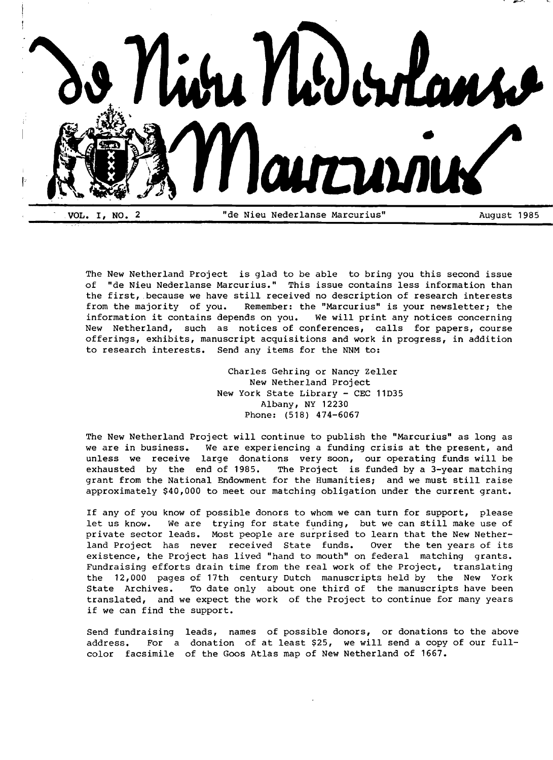

The New Netherland Project is glad to be able to bring you this second issue of "de Nieu Nederlanse Marcurius." This issue contains less information than the first, because we have still received no description of research interests from the majority of you. Remember: the "Marcurius" is your newsletter; the information it contains depends on you. We will print any notices concerning information it contains depends on you. New Netherland, such as notices of conferences, calls for papers, course offerings, exhibits, manuscript acquisitions and work in progress, in addition to research interests. Send any items for the NNM to:

> Charles Gehring or Nancy Zeller New Netherland Project New York State Library - CEC 11D35 Albany, NY 12230 Phone: (518) 474-6067

The New Netherland Project will continue to publish the "Marcurius" as long as we are in business. We are experiencing a funding crisis at the present, and unless we receive large donations very soon, our operating funds will be exhausted by the end of 1985. The Project is funded by a 3-year matching grant from the National Endowment for the Humanities; and we must still raise approximately \$40,000 to meet our matching obligation under the current grant.

If any of you know of possible donors to whom we can turn for support, please let us know. We are trying for state funding, but we can still make use of private sector leads. Most people are surprised to learn that the New Netherland Project has never received State funds. Over the ten years of its existence, the Project has lived "hand to mouth" on federal matching grants. Fundraising efforts drain time from the real work of the Project, translating the 12,000 pages of 17th century Dutch manuscripts held by the New York State Archives. To date only about one third of the manuscripts have been translated, and we expect the work of the Project to continue for many years if we can find the support.

Send fundraising leads, names of possible donors, or donations to the above address. For a donation of at least \$25, we will send a copy of our fullcolor facsimile of the Goos Atlas map of New Netherland of 1667.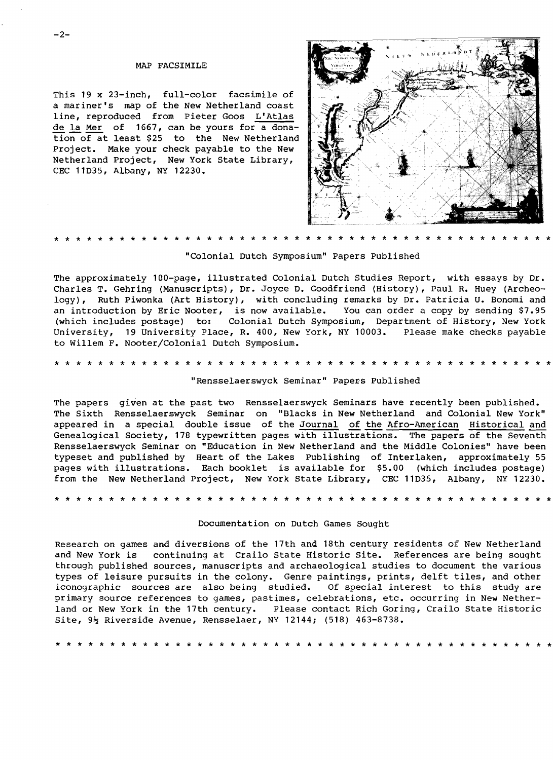## MAP FACSIMILE

This 19 x 23-inch, full-color facsimile of a mariner's map of the New Netherland coast line, reproduced from Pieter Goos L'Atlas de la Mer of 1667, can be yours for a donation of at least \$25 to the New Netherland project. Make your check payable to the New Netherland project, New York State Library, CEC 11D35, Albany, NY 12230.



# \* \* \* \* \* \* \* \* \* \* \* \* \* \* \* \* \* \* \* \* \* \* \* \* \* \* \* \* \* \* \* \* \* \* \* \* \* \* \* \* \* \* \* \* \* \*

"Colonial Dutch Symposium" Papers Published

The approximately 100-page, illustrated Colonial Dutch Studies Report, with essays by Dr. Charles T. Gehring (Manuscripts), Dr. Joyce D. Goodfriend (History), Paul R. Huey (Archeology), Ruth Piwonka (Art History), with concluding remarks by Dr. Patricia U. Bonomi and an introduction by Eric Nooter, is now available. You can order a copy by sending \$7.95<br>(which includes postage) to: Colonial Dutch Symposium, Department of History, New York Colonial Dutch Symposium, Department of History, New York University, 19 University Place, R. 400, New York, NY 10003. Please make checks payable to Willem F. Nooter/Colonial Dutch Symposium.

\* \* \* \* \* \* \* \* \* \* \* \* \* \* \* \* \* \* \* \* \* \* \* \* \* \* \* \* \* \* \* \* \* \* \* \* \* \* \* \* \* \* \* \* \* \*

## "Rensselaerswyck Seminar" Papers Published

The papers given at the past two Rensselaerswyck Seminars have recently been published. The Sixth Rensselaerswyck Seminar on "Blacks in New Netherland and Colonial New York" appeared in a special double issue of the Journal of the Afro-American Historical and Genealogical Society, 178 typewritten pages with illustrations. The papers of the Seventh Rensselaerswyck Seminar on "Education in New Netherland and the Middle Colonies" have been typeset and published by Heart of the Lakes Publishing of Interlaken, approximately 55 pages with illustrations. Each booklet is available for \$5.00 (which includes postage) from the New Netherland Project, New York State Library, CEC llD35, Albany, NY 12230.

\* \* \* \* \* \* \* \* \* \* \* \* \* \* \* \* \* \* \* \* \* \* \* \* \* \* \* \* \* \* \* \* \* \* \* \* \* \* \* \* \* \* \* \* \* \*

## Documentation on Dutch Games Sought

Research on games and diversions of the 17th and 18th century residents of New Netherland and New York is continuing at Crailo State Historic site. References are being sought through published sources, manuscripts and archaeological studies to document the various types of leisure pursuits in the colony. Genre paintings, prints, delft tiles, and other iconographic sources are also being studied. Of special interest to this study are primary source references to games, pastimes, celebrations, etc. occurring in New Netherland or New York in the 17th century. Please contact Rich Goring, Crailo State Historic Site,  $9\frac{1}{2}$  Riverside Avenue, Rensselaer, NY 12144; (518) 463-8738.

\* \* \* \* \* \* \* \* \* \* \* \* \* \* \* \* \* \* \* \* \* \* \* \* \* \* \* \* \* \* \* \* \* \* \* \* \* \* \* \* \* \* \* \* \* \*

 $-2-$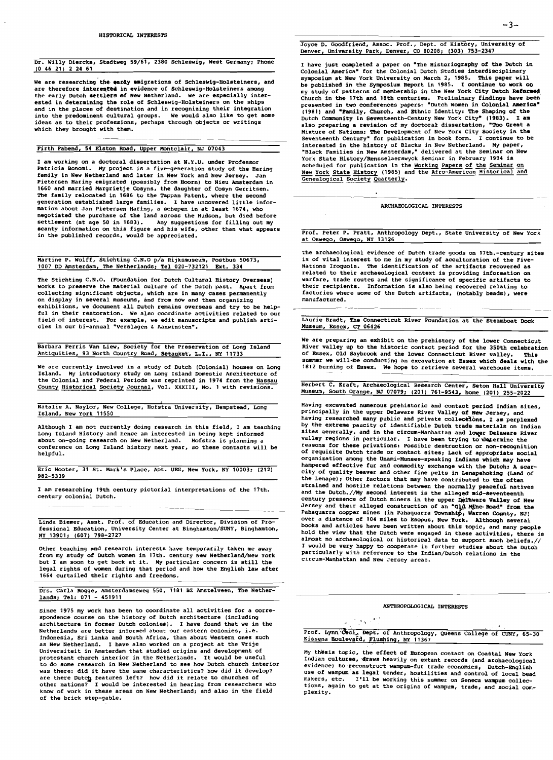### Dr. Willy Diercks, Stadtweg 59/61, 2380 SChleswig, West Germany; Phone (0 46 21) 2 24 61

We are researching the early emigrations of Schleswig-Holsteiners, and are therefore interested in evidence of Schleswig-Holsteiners among the early Dutch settlers of New Netherland. We are especially interested in determining the role of Schleswig-Holsteiners on the ships and in the places of destination and in recognizing their integration into the predominent cultural groups. We would also like to get some ideas as to their professions, perhaps through objects or writings which they brought with them.

## Firth Fabend, 54 Elston Road, Upper Montclair, NJ 07043

I am working on a doctoral dissertation at N.Y.U. under Professor Patricia Bonomi. My project is a five-generation study of the Haring family in New Netherland and later in New York and New Jersey. Jan Pietersen Haring emigrated (possibly from Hoorn) to Nieu Amsterdam in 1660 and married Margrietje Cosyns, the daughter of Cosyn Gerritsen. The family relocated in 1686 to the Tappan Patent, where the second generation established large families. I have uncovered little infor-mation about Jan Pietersen Haring, a schepen in at least 1674, who negotiated the purchase of the land across the Hudson, but died before settlement (at age 50 in 1683). Any suggestions for filling out my scanty information on this figure and his wife, other than what appears in the pUblished records, would be appreciated.

Martine P. Wolff, Stichting C.N.O p/a Rijksmuseum, Postbus 50673, 1007 DD Amsterdam, The Netherlands: Tel 020-732121 Ext. 334

The Stichting C.N.O. (Foundation for Dutch Cultural History Overseas) works to preserve the material culture of the Dutch past. Apart from **collecting significant objects, which are in many cases permanently on display in several museums, and from now and then organizing**  exhibitions, we document all Dutch remains overseas and try to be helpful in their restoration. We also coordinate activities related to our field of interest. For example, we edit manuscripts and publish arti**cles in our bi-annual** ~Verslagen **, Aanwinsten-.** 

Barbara Ferris Van Liew, Society for the Preservation of Long Island Antiquities, 93 North Country Road, Setauket, L.I., NY 11733

We are currently involved in a study of Dutch (Colonial) houses on Long Island. My introductory study on Long Island Domestic Architecture of the Colonial and Federal Periods was reprinted in 1974 from the Nassau County Historical Society Journal, Vol. XXXIII, No. 1 with revisions.

**Natalie A. Naylor, New College, Hofstra University, Hempstead, Long**  Island, New York 11550

Although I am not currently doing research in this field, I am teaching Long Island History and hence am interested in being kept informed **about on-going research on New Netherland. Hofstra is planning a conference on Long Island history next year, so these contacts will be**  helpful.

Eric Nooter, 31 St. Mark's Place, Apt. UEG, New York, NY 10003; (212) 982-5339

I am researching 19th century pictorial interpretations of the 17th. **century colonial Dutch.** 

**Linda Biemer, Asst. Prof. of Education and Director, Division of Pro**fessional Education, University Center at Binghamton/SUNY, Binghamton, !lY 13901: (607) 798-2727

Other teaching and research interests have temporarily taken me away from my study of Dutch women in 17th. century New Netherland/New York but I am soon to get back at it. My particular concern is still the legal rights of women during that period and how the English law after 1664 curtailed their rights and freedoms.

Drs. Carla Rogge, Amsterdamseweg 550, 1181 BZ Amstelveen, The Netherlands: Tel: 071 - 451911

**Since 1975 my work has been to coordinate all activities for a corre**spondence course on the history of Dutch architecture (including<br>architecture in former Dutch colonies). I have found that we in the **Netherlands are better informed about our eastern colonies, i.e. Indonesia, Sri Lanka and SOuth Africa, than about Western ones such**  as New Netherland. I have also worked on a project at the Vrije **Universiteit in Amsterdam that studied origins and development of**  protestant church interior in the Netherlands. It would be useful **to do some research in New Netherland to see how Dutch church interior**  was there: did it have the same characteristics? how did it develop?<br>are there Dutch features left? how did it relate to churches of<br>other nations? I would be interested in hearing from researchers who **know of work in these areas on New Netherland; and also in the field**  of the brick step-gable.

I have just completed a paper on "The Historiography of the Dutch in Colonial America" for the Colonial Dutch Studies interdisciplinary symposium at New York University on March 2, 1985. This paper will be published in the Symposium Report in 1985. I continue to work 00 my study of patterns of membership in the New York City Dutch Reformed Church in the 17th and 18th centuries. Preliminary findings have been presented in two conferences papers: "Dutch Women in Colonial America" (1981) and "Family, Church, and Ethnic Identity: The Shaping of the Dutch Community in Seventeenth-Century New York City" (1983). I am also preparing a revision of my doctoral dissertation, "Too Great a Mixture of Nations: The Development of New York City Society in the Seventeenth Century" for publication in book form. I continue to be interested in the history of Blacks in New Netherland. My paper, **"Black Families in New Amsterdam,· delivered at the Seminar on New**  York State History/Rensselaerswyck Seminar in February 1984 is<br>scheduled for publication in the Working Papers of the Seminar on<br><u>New York State History</u> (1985) and the <u>Afro-American Historical and</u> Genealogical Society Quarterly.

ARCHAEOLOGICAL INTERESTS

Prof. Peter P. Pratt, Anthropology Dept., State University of New York at OSWegO, OSWegO, NY 13126

The archaeological evidence of Dutch trade goods on 17th.-century sites is of vital interest to me in my study of acculturation of the Five-Nations Iroquois. The identification of the artifacts recovered as related to their archaeological context is providing information on warfare, trade routes and the significance of specific artifacts to their recipients. Information is also being recovered relating to factories where some of the Dutch artifacts, (notably beads), were **manufactured.** 

Laurie Bradt, The COnnecticut River Foundation at the Steamboat Dock Museum, Essex, CT 06426

We are preparing an exhibit on the prehistory of the lower Connecticut River valley up to the historic contact period for the 350th celebration of Essex, Old Saybrook and the lower Connecticut River valley. summer we will-be conducting an excavation at Essex which deals with the **1812 burning of Essex. We hope to retrieve several warehouse items.** 

Herbert C. Kraft, Archaeological Research Center, Seton Hall University Museum, South Orange, NJ 07079: (201) 761-9543, home (201) 255-2022

**Having excavated numerous prehistoric and contact period Indian sites,**  principally in the upper Delaware River Valley of New Jersey, and<br>having researched many public and private collections, I am perplexed by the extreme paucity of identifiable Dutch trade materials on Indian sites generally, and in the circum-Manhattan and lower Delaware River valley regions in particular. I have been trying to~determine the reasons for these privations: Possible destruction or non-recognition of requisite Dutch trade or contact sites; Lack of appropriate social organization among the Unami-Munsee-speaking Indians which may have hampered effective fur and commodity exchange with the Dutch; A scarcity of quality beaver and other fine pelts in Lenapehoking (Land of the Lenape), Other factors that may have contributed to the often strained and hostile relations between the normally peaceful natives and the Dutch.//My second interest is the alleged mid-seventeenth<br>century presence of Dutch miners in the upper Delaware Valley of New<br>Jersey and their alleged construction of an "Q&A MATHOP-Road" from the Pahaquarra copper mines (in Pahaquarra Township, Warren County, NJ)<br>over a distance of 104 miles to Esopus, New York. Although several books and articles have been written about this topic, and many people hold the view that the Dutch were engaged in these activities, there is almost no archaeological or historical data to support such beliefs.// I would be very happy to cooperate in further studies about the Dutch particularly with reference to the Indian/Dutch relations in the **circum-Manhattan and New Jersey areas.** 

# ANTHROPOLOGICAL INTERESTS

# .  $\mathcal{F}_\mathbf{A}$  .  $\mathbf{C}$

|  | Prof. Lynn Ceci, Dept. of Anthropology, Queens College of CUNY, 65-30 |  |  |
|--|-----------------------------------------------------------------------|--|--|
|  | Kissena Boulevard, Flushing, NY 11367                                 |  |  |

My thesis topic, the effect of European contact on Coastal New York Indian cultures, draws heavily on extant records (and archaeological<br>evidence) to reconstruct wampum-fur trade economics, Dutch-English use of wampum as legal tender, hostilities and control of local bead **makers, etc. I'll be working this summer on Seneca wampum collections, again to get at the origins of wampum, trade, and social com** plexity.